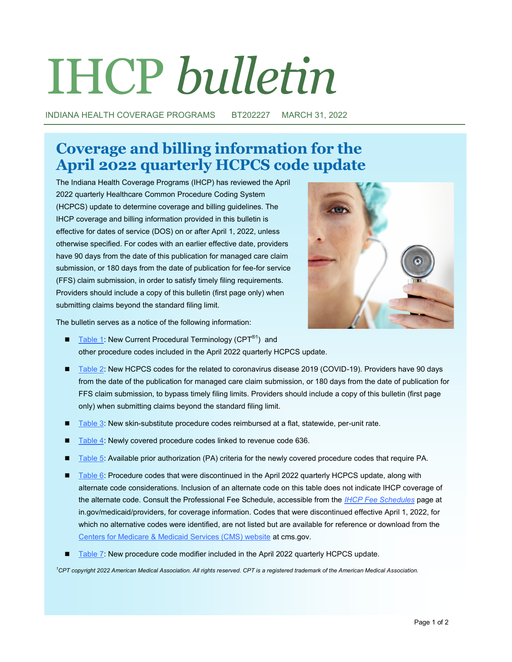# IHCP *bulletin*

INDIANA HEALTH COVERAGE PROGRAMS BT202227 MARCH 31, 2022

# **Coverage and billing information for the April 2022 quarterly HCPCS code update**

The Indiana Health Coverage Programs (IHCP) has reviewed the April 2022 quarterly Healthcare Common Procedure Coding System (HCPCS) update to determine coverage and billing guidelines. The IHCP coverage and billing information provided in this bulletin is effective for dates of service (DOS) on or after April 1, 2022, unless otherwise specified. For codes with an earlier effective date, providers have 90 days from the date of this publication for managed care claim submission, or 180 days from the date of publication for fee-for service (FFS) claim submission, in order to satisfy timely filing requirements. Providers should include a copy of this bulletin (first page only) when submitting claims beyond the standard filing limit.



The bulletin serves as a notice of the following information:

- [Table 1:](#page-2-0) New Current Procedural Terminology (CPT<sup>®1</sup>) and other procedure codes included in the April 2022 quarterly HCPCS update.
- [Table 2:](#page-8-0) New HCPCS codes for the related to coronavirus disease 2019 (COVID-19). Providers have 90 days from the date of the publication for managed care claim submission, or 180 days from the date of publication for FFS claim submission, to bypass timely filing limits. Providers should include a copy of this bulletin (first page only) when submitting claims beyond the standard filing limit.
- [Table 3:](#page-8-0) New skin-substitute procedure codes reimbursed at a flat, statewide, per-unit rate.
- [Table 4:](#page-8-0) Newly covered procedure codes linked to revenue code 636.
- [Table 5:](#page-9-0) Available prior authorization (PA) criteria for the newly covered procedure codes that require PA.
- [Table 6:](#page-9-0) Procedure codes that were discontinued in the April 2022 quarterly HCPCS update, along with alternate code considerations. Inclusion of an alternate code on this table does not indicate IHCP coverage of the alternate code. Consult the Professional Fee Schedule, accessible from the *[IHCP Fee Schedules](https://www.in.gov/medicaid/providers/business-transactions/billing-and-remittance/ihcp-fee-schedules/)* page at in.gov/medicaid/providers, for coverage information. Codes that were discontinued effective April 1, 2022, for which no alternative codes were identified, are not listed but are available for reference or download from the [Centers for Medicare & Medicaid Services \(CMS\) website](https://www.cms.gov/Medicare/Coding/HCPCSReleaseCodeSets/HCPCS-Quarterly-Update) at cms.gov.
- [Table 7:](#page-9-0) New procedure code modifier included in the April 2022 quarterly HCPCS update.

*<sup>1</sup>CPT copyright 2022 American Medical Association. All rights reserved. CPT is a registered trademark of the American Medical Association.*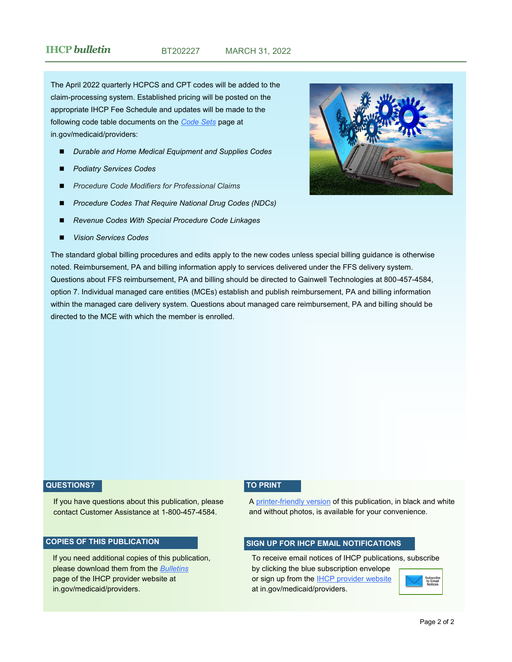The April 2022 quarterly HCPCS and CPT codes will be added to the claim-processing system. Established pricing will be posted on the appropriate IHCP Fee Schedule and updates will be made to the following code table documents on the *[Code Sets](https://www.in.gov/medicaid/providers/business-transactions/billing-and-remittance/code-sets/)* page at in.gov/medicaid/providers:

- *Durable and Home Medical Equipment and Supplies Codes*
- ◼ *Podiatry Services Codes*
- ◼ *Procedure Code Modifiers for Professional Claims*
- ◼ *Procedure Codes That Require National Drug Codes (NDCs)*
- ◼ *Revenue Codes With Special Procedure Code Linkages*
- ◼ *Vision Services Codes*



The standard global billing procedures and edits apply to the new codes unless special billing guidance is otherwise noted. Reimbursement, PA and billing information apply to services delivered under the FFS delivery system. Questions about FFS reimbursement, PA and billing should be directed to Gainwell Technologies at 800-457-4584, option 7. Individual managed care entities (MCEs) establish and publish reimbursement, PA and billing information within the managed care delivery system. Questions about managed care reimbursement, PA and billing should be directed to the MCE with which the member is enrolled.

#### **QUESTIONS?**

If you have questions about this publication, please contact Customer Assistance at 1-800-457-4584.

#### **COPIES OF THIS PUBLICATION**

If you need additional copies of this publication, please download them from the *[Bulletins](https://www.in.gov/medicaid/providers/829.htm)* page of the IHCP provider website at in.gov/medicaid/providers.

#### **TO PRINT**

A printer-[friendly version](http://provider.indianamedicaid.com/ihcp/Bulletins/BT202227_PF.pdf) of this publication, in black and white and without photos, is available for your convenience.

#### **SIGN UP FOR IHCP EMAIL NOTIFICATIONS**

To receive email notices of IHCP publications, subscribe by clicking the blue subscription envelope or sign up from the **IHCP** provider website

at in.gov/medicaid/providers.

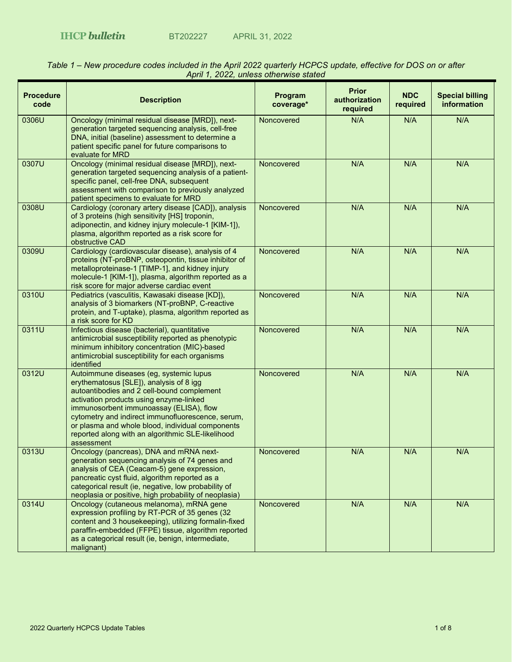| <b>Procedure</b><br>code | <b>Description</b>                                                                                                                                                                                                                                                                                                                                                                                 | Program<br>coverage* | <b>Prior</b><br>authorization<br>required | <b>NDC</b><br>required | <b>Special billing</b><br>information |
|--------------------------|----------------------------------------------------------------------------------------------------------------------------------------------------------------------------------------------------------------------------------------------------------------------------------------------------------------------------------------------------------------------------------------------------|----------------------|-------------------------------------------|------------------------|---------------------------------------|
| 0306U                    | Oncology (minimal residual disease [MRD]), next-<br>generation targeted sequencing analysis, cell-free<br>DNA, initial (baseline) assessment to determine a<br>patient specific panel for future comparisons to<br>evaluate for MRD                                                                                                                                                                | Noncovered           | N/A                                       | N/A                    | N/A                                   |
| 0307U                    | Oncology (minimal residual disease [MRD]), next-<br>generation targeted sequencing analysis of a patient-<br>specific panel, cell-free DNA, subsequent<br>assessment with comparison to previously analyzed<br>patient specimens to evaluate for MRD                                                                                                                                               | Noncovered           | N/A                                       | N/A                    | N/A                                   |
| 0308U                    | Cardiology (coronary artery disease [CAD]), analysis<br>of 3 proteins (high sensitivity [HS] troponin,<br>adiponectin, and kidney injury molecule-1 [KIM-1]),<br>plasma, algorithm reported as a risk score for<br>obstructive CAD                                                                                                                                                                 | Noncovered           | N/A                                       | N/A                    | N/A                                   |
| 0309U                    | Cardiology (cardiovascular disease), analysis of 4<br>proteins (NT-proBNP, osteopontin, tissue inhibitor of<br>metalloproteinase-1 [TIMP-1], and kidney injury<br>molecule-1 [KIM-1]), plasma, algorithm reported as a<br>risk score for major adverse cardiac event                                                                                                                               | Noncovered           | N/A                                       | N/A                    | N/A                                   |
| 0310U                    | Pediatrics (vasculitis, Kawasaki disease [KD]),<br>analysis of 3 biomarkers (NT-proBNP, C-reactive<br>protein, and T-uptake), plasma, algorithm reported as<br>a risk score for KD                                                                                                                                                                                                                 | Noncovered           | N/A                                       | N/A                    | N/A                                   |
| 0311U                    | Infectious disease (bacterial), quantitative<br>antimicrobial susceptibility reported as phenotypic<br>minimum inhibitory concentration (MIC)-based<br>antimicrobial susceptibility for each organisms<br>identified                                                                                                                                                                               | Noncovered           | N/A                                       | N/A                    | N/A                                   |
| 0312U                    | Autoimmune diseases (eg, systemic lupus<br>erythematosus [SLE]), analysis of 8 igg<br>autoantibodies and 2 cell-bound complement<br>activation products using enzyme-linked<br>immunosorbent immunoassay (ELISA), flow<br>cytometry and indirect immunofluorescence, serum,<br>or plasma and whole blood, individual components<br>reported along with an algorithmic SLE-likelihood<br>assessment | Noncovered           | N/A                                       | N/A                    | N/A                                   |
| 0313U                    | Oncology (pancreas), DNA and mRNA next-<br>generation sequencing analysis of 74 genes and<br>analysis of CEA (Ceacam-5) gene expression,<br>pancreatic cyst fluid, algorithm reported as a<br>categorical result (ie, negative, low probability of<br>neoplasia or positive, high probability of neoplasia)                                                                                        | Noncovered           | N/A                                       | N/A                    | N/A                                   |
| 0314U                    | Oncology (cutaneous melanoma), mRNA gene<br>expression profiling by RT-PCR of 35 genes (32<br>content and 3 housekeeping), utilizing formalin-fixed<br>paraffin-embedded (FFPE) tissue, algorithm reported<br>as a categorical result (ie, benign, intermediate,<br>malignant)                                                                                                                     | Noncovered           | N/A                                       | N/A                    | N/A                                   |

#### <span id="page-2-0"></span>*Table 1 – New procedure codes included in the April 2022 quarterly HCPCS update, effective for DOS on or after April 1, 2022, unless otherwise stated*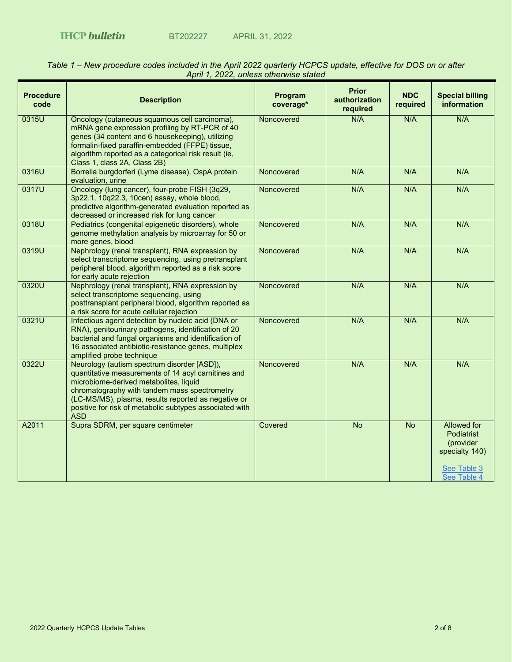| <b>Procedure</b><br>code | <b>Description</b>                                                                                                                                                                                                                                                                                                           | Program<br>coverage* | <b>Prior</b><br>authorization<br>required | <b>NDC</b><br>required | <b>Special billing</b><br>information                                                 |
|--------------------------|------------------------------------------------------------------------------------------------------------------------------------------------------------------------------------------------------------------------------------------------------------------------------------------------------------------------------|----------------------|-------------------------------------------|------------------------|---------------------------------------------------------------------------------------|
| 0315U                    | Oncology (cutaneous squamous cell carcinoma),<br>mRNA gene expression profiling by RT-PCR of 40<br>genes (34 content and 6 housekeeping), utilizing<br>formalin-fixed paraffin-embedded (FFPE) tissue,<br>algorithm reported as a categorical risk result (ie,<br>Class 1, class 2A, Class 2B)                               | Noncovered           | N/A                                       | N/A                    | N/A                                                                                   |
| 0316U                    | Borrelia burgdorferi (Lyme disease), OspA protein<br>evaluation, urine                                                                                                                                                                                                                                                       | Noncovered           | N/A                                       | N/A                    | N/A                                                                                   |
| 0317U                    | Oncology (lung cancer), four-probe FISH (3q29,<br>3p22.1, 10q22.3, 10cen) assay, whole blood,<br>predictive algorithm-generated evaluation reported as<br>decreased or increased risk for lung cancer                                                                                                                        | Noncovered           | N/A                                       | N/A                    | N/A                                                                                   |
| 0318U                    | Pediatrics (congenital epigenetic disorders), whole<br>genome methylation analysis by microarray for 50 or<br>more genes, blood                                                                                                                                                                                              | Noncovered           | N/A                                       | N/A                    | N/A                                                                                   |
| 0319U                    | Nephrology (renal transplant), RNA expression by<br>select transcriptome sequencing, using pretransplant<br>peripheral blood, algorithm reported as a risk score<br>for early acute rejection                                                                                                                                | Noncovered           | N/A                                       | N/A                    | N/A                                                                                   |
| 0320U                    | Nephrology (renal transplant), RNA expression by<br>select transcriptome sequencing, using<br>posttransplant peripheral blood, algorithm reported as<br>a risk score for acute cellular rejection                                                                                                                            | Noncovered           | N/A                                       | N/A                    | N/A                                                                                   |
| 0321U                    | Infectious agent detection by nucleic acid (DNA or<br>RNA), genitourinary pathogens, identification of 20<br>bacterial and fungal organisms and identification of<br>16 associated antibiotic-resistance genes, multiplex<br>amplified probe technique                                                                       | Noncovered           | N/A                                       | N/A                    | N/A                                                                                   |
| 0322U                    | Neurology (autism spectrum disorder [ASD]),<br>quantitative measurements of 14 acyl carnitines and<br>microbiome-derived metabolites, liquid<br>chromatography with tandem mass spectrometry<br>(LC-MS/MS), plasma, results reported as negative or<br>positive for risk of metabolic subtypes associated with<br><b>ASD</b> | Noncovered           | N/A                                       | N/A                    | N/A                                                                                   |
| A2011                    | Supra SDRM, per square centimeter                                                                                                                                                                                                                                                                                            | Covered              | $\overline{N}$                            | $\overline{N}$         | <b>Allowed for</b><br><b>Podiatrist</b><br>(provider<br>specialty 140)<br>See Table 3 |
|                          |                                                                                                                                                                                                                                                                                                                              |                      |                                           |                        | See Table 4                                                                           |

## *Table 1 – New procedure codes included in the April 2022 quarterly HCPCS update, effective for DOS on or after April 1, 2022, unless otherwise stated*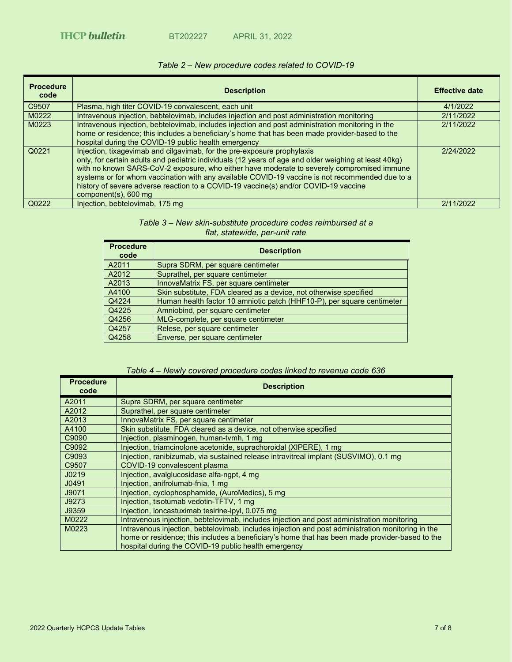# *Table 2 – New procedure codes related to COVID-19*

<span id="page-8-0"></span>

| <b>Procedure</b><br>code | <b>Description</b>                                                                                                                                                                                                                                                                                                                                                                                                                                                                               | <b>Effective date</b> |
|--------------------------|--------------------------------------------------------------------------------------------------------------------------------------------------------------------------------------------------------------------------------------------------------------------------------------------------------------------------------------------------------------------------------------------------------------------------------------------------------------------------------------------------|-----------------------|
| C9507                    | Plasma, high titer COVID-19 convalescent, each unit                                                                                                                                                                                                                                                                                                                                                                                                                                              | 4/1/2022              |
| M0222                    | Intravenous injection, bebtelovimab, includes injection and post administration monitoring                                                                                                                                                                                                                                                                                                                                                                                                       | 2/11/2022             |
| M0223                    | Intravenous injection, bebtelovimab, includes injection and post administration monitoring in the<br>home or residence; this includes a beneficiary's home that has been made provider-based to the<br>hospital during the COVID-19 public health emergency                                                                                                                                                                                                                                      | 2/11/2022             |
| Q0221                    | Injection, tixagevimab and cilgavimab, for the pre-exposure prophylaxis<br>only, for certain adults and pediatric individuals (12 years of age and older weighing at least 40kg)<br>with no known SARS-CoV-2 exposure, who either have moderate to severely compromised immune<br>systems or for whom vaccination with any available COVID-19 vaccine is not recommended due to a<br>history of severe adverse reaction to a COVID-19 vaccine(s) and/or COVID-19 vaccine<br>component(s), 600 mg | 2/24/2022             |
| Q0222                    | Injection, bebtelovimab, 175 mg                                                                                                                                                                                                                                                                                                                                                                                                                                                                  | 2/11/2022             |

### *Table 3 – New skin-substitute procedure codes reimbursed at a flat, statewide, per-unit rate*

<span id="page-8-1"></span>

| <b>Procedure</b><br>code | <b>Description</b>                                                     |
|--------------------------|------------------------------------------------------------------------|
| A2011                    | Supra SDRM, per square centimeter                                      |
| A2012                    | Suprathel, per square centimeter                                       |
| A2013                    | InnovaMatrix FS, per square centimeter                                 |
| A4100                    | Skin substitute, FDA cleared as a device, not otherwise specified      |
| Q4224                    | Human health factor 10 amniotic patch (HHF10-P), per square centimeter |
| Q4225                    | Amniobind, per square centimeter                                       |
| Q4256                    | MLG-complete, per square centimeter                                    |
| Q4257                    | Relese, per square centimeter                                          |
| Q4258                    | Enverse, per square centimeter                                         |

## *Table 4 – Newly covered procedure codes linked to revenue code 636*

<span id="page-8-2"></span>

| <b>Procedure</b><br>code | <b>Description</b>                                                                                |
|--------------------------|---------------------------------------------------------------------------------------------------|
| A2011                    | Supra SDRM, per square centimeter                                                                 |
| A2012                    | Suprathel, per square centimeter                                                                  |
| A2013                    | InnovaMatrix FS, per square centimeter                                                            |
| A4100                    | Skin substitute, FDA cleared as a device, not otherwise specified                                 |
| C9090                    | Injection, plasminogen, human-tvmh, 1 mg                                                          |
| C9092                    | Injection, triamcinolone acetonide, suprachoroidal (XIPERE), 1 mg                                 |
| C9093                    | Injection, ranibizumab, via sustained release intravitreal implant (SUSVIMO), 0.1 mg              |
| C9507                    | COVID-19 convalescent plasma                                                                      |
| J0219                    | Injection, avalglucosidase alfa-ngpt, 4 mg                                                        |
| J0491                    | Injection, anifrolumab-fnia, 1 mg                                                                 |
| J9071                    | Injection, cyclophosphamide, (AuroMedics), 5 mg                                                   |
| J9273                    | Injection, tisotumab vedotin-TFTV, 1 mg                                                           |
| J9359                    | Injection, loncastuximab tesirine-lpyl, 0.075 mg                                                  |
| M0222                    | Intravenous injection, bebtelovimab, includes injection and post administration monitoring        |
| M0223                    | Intravenous injection, bebtelovimab, includes injection and post administration monitoring in the |
|                          | home or residence; this includes a beneficiary's home that has been made provider-based to the    |
|                          | hospital during the COVID-19 public health emergency                                              |